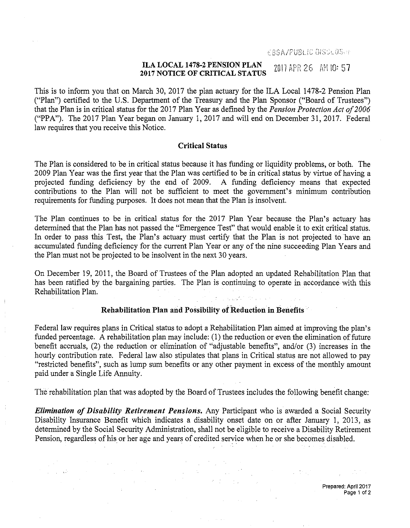EBSAZPUBLIC OISCLOS.H

### ILA LOCAL 1478-2 PENSION PLAN<br>2017 NOTICE OF CRITICAL STATUS  $2017$  APR 26 AM 10:57

This is to inform you that on March 30, 2017 the plan actuary for the ILA Local 1478-2 Pension Plan ("Plan") certified to the U.S. Department of the Treasury and the Plan Sponsor ("Board of Trustees") that the Plan is in critical status for the 2017 Plan Year as defined by the *Pension Protection Act of 2006*  ("PPA"). The 2017 Plan Year began on January 1, 2017 and will end on December 31, 2017. Federal law requires that you receive this Notice.

# Critical Status

The Plan is considered to be in critical status because it has funding or liquidity problems, or both. The 2009 Plan Year was the first year that the Plan was certified to be in critical status by virtue of having a projected funding deficiency by the end of 2009. A funding deficiency means that expected contributions to the Plan will not be sufficient to meet the government's minimum contribution requirements for funding purposes. It does not mean that the Plan is insolvent.

The Plan continues to be in critical status for the 2017 Plan Year because the Plan's actuary has determined that the Plan has not passed the "Emergence Test" that would enable it to exit critical stattis. In order to pass this Test, the Plan's actuary must certify that the Plan is not projected to have an accumulated funding deficiency for the current Plan Year or any of the nine succeeding Plan Years and the Plan must not be projected to be insolvent in the next 30 years.

On December 19, 2011, the Board of Trustees of the Plan adopted an updated Rehabilitation Plan that has been ratified by the bargaining parties. The Plan is continuing to operate in accordance with this Rehabilitation Plan.  $\mathcal{F}^{(1)}_{\mathcal{F}}(\mathcal{F}_{\mathcal{F}}) = \mathcal{F}^{(1)}_{\mathcal{F}}(\mathcal{F}_{\mathcal{F}}) = \mathcal{F}^{(1)}_{\mathcal{F}}(\mathcal{F}_{\mathcal{F}}) = \mathcal{F}^{(1)}_{\mathcal{F}}(\mathcal{F}_{\mathcal{F}}) = \mathcal{F}^{(1)}_{\mathcal{F}}(\mathcal{F}_{\mathcal{F}}) = \mathcal{F}^{(1)}_{\mathcal{F}}(\mathcal{F}_{\mathcal{F}})$ 

### Rehabilitation Plan and Possibility of Reduction in Benefits

Federal law requires plans in Critical status to adopt a Rehabilitation Plan aimed at improving the plan's funded percentage. A rehabilitation plan may include: (1) the reduction or even the elimination of future benefit accruals, (2) the reduction or elimination of "adjustable benefits", and/or (3) increases in the hourly contribution rate. Federal law also stipulates that plans in Critical status are not allowed to pay "restricted benefits", such as lump sum benefits or any other payment in excess of the monthly amount paid under a Single Life Annuity.

The rehabilitation plan that was adopted by the Board of Trustees includes the following benefit change:

*Elimination of Disability Retirement Pensions.* Any Participant who is awarded a Social Security Disability Insurance Benefit which indicates a disability onset date on or after January 1, 2013, as determined by the Social Security Administration, shall not be eligible to receive a Disability Retirement Pension, regardless of his or her age and years of credited service when he or she becomes disabled.

> $\label{eq:2.1} \mathcal{L}(\mathcal{A}) = \mathcal{L}(\mathcal{A}) = \mathcal{L}(\mathcal{A}) = \mathcal{L}(\mathcal{A}) = \mathcal{L}(\mathcal{A})$

 $\frac{1}{2} \sum_{i=1}^{n} \frac{1}{2} \sum_{j=1}^{n} \frac{1}{2} \sum_{j=1}^{n} \frac{1}{2} \sum_{j=1}^{n} \frac{1}{2} \sum_{j=1}^{n} \frac{1}{2} \sum_{j=1}^{n} \frac{1}{2} \sum_{j=1}^{n} \frac{1}{2} \sum_{j=1}^{n} \frac{1}{2} \sum_{j=1}^{n} \frac{1}{2} \sum_{j=1}^{n} \frac{1}{2} \sum_{j=1}^{n} \frac{1}{2} \sum_{j=1}^{n} \frac{1}{2} \sum_{j=1}^{n$ 

 $\label{eq:2.1} \frac{1}{2}\left(\frac{1}{2}\int_{0}^{2\pi} \frac{1}{\sqrt{2\pi}}\left(\frac{1}{2}\int_{0}^{2\pi} \frac{1}{\sqrt{2\pi}}\left(\frac{1}{2}\int_{0}^{2\pi} \frac{1}{\sqrt{2\pi}}\left(\frac{1}{2}\int_{0}^{2\pi} \frac{1}{\sqrt{2\pi}}\right)\frac{1}{\sqrt{2\pi}}\right)\frac{1}{\sqrt{2\pi}}\right)=\frac{1}{2}\left(\frac{1}{2}\int_{0}^{2\pi} \frac{1}{\sqrt{2\pi}}\left(\frac{1}{2}\int_{0}^{2\pi}$